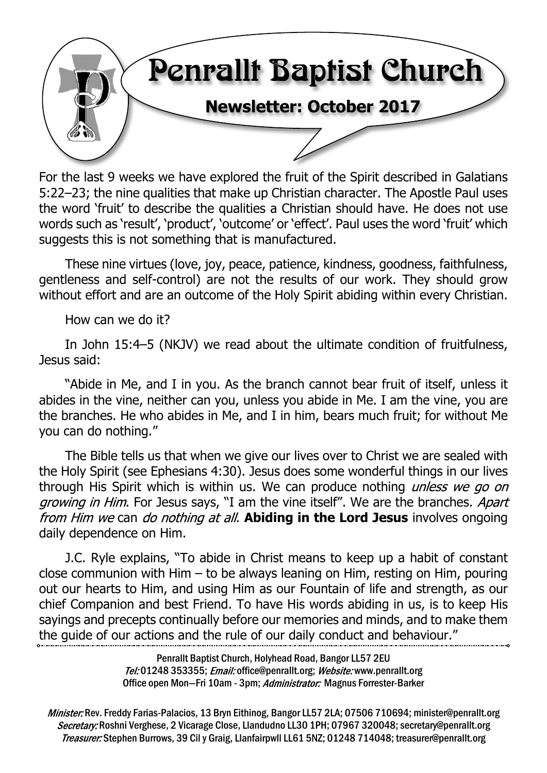

For the last 9 weeks we have explored the fruit of the Spirit described in Galatians 5:22–23; the nine qualities that make up Christian character. The Apostle Paul uses the word 'fruit' to describe the qualities a Christian should have. He does not use words such as 'result', 'product', 'outcome' or 'effect'. Paul uses the word 'fruit' which suggests this is not something that is manufactured.

These nine virtues (love, joy, peace, patience, kindness, goodness, faithfulness, gentleness and self-control) are not the results of our work. They should grow without effort and are an outcome of the Holy Spirit abiding within every Christian.

How can we do it?

In John 15:4–5 (NKJV) we read about the ultimate condition of fruitfulness, Jesus said:

"Abide in Me, and I in you. As the branch cannot bear fruit of itself, unless it abides in the vine, neither can you, unless you abide in Me. I am the vine, you are the branches. He who abides in Me, and I in him, bears much fruit; for without Me you can do nothing."

The Bible tells us that when we give our lives over to Christ we are sealed with the Holy Spirit (see Ephesians 4:30). Jesus does some wonderful things in our lives through His Spirit which is within us. We can produce nothing *unless we go on* growing in Him. For Jesus says, "I am the vine itself". We are the branches. Apart from Him we can *do nothing at all*. **Abiding in the Lord Jesus** involves ongoing daily dependence on Him.

J.C. Ryle explains, "To abide in Christ means to keep up a habit of constant close communion with Him – to be always leaning on Him, resting on Him, pouring out our hearts to Him, and using Him as our Fountain of life and strength, as our chief Companion and best Friend. To have His words abiding in us, is to keep His sayings and precepts continually before our memories and minds, and to make them the guide of our actions and the rule of our daily conduct and behaviour."

> Penrallt Baptist Church, Holyhead Road, Bangor LL57 2EU Tel:01248 353355; Email: office@penrallt.org; Website: www.penrallt.org Office open Mon-Fri 10am - 3pm; Administrator: Magnus Forrester-Barker

Minister: Rev. Freddy Farias-Palacios, 13 Bryn Eithinog, Bangor LL57 2LA; 07506 710694; minister@penrallt.org Secretary: Roshni Verghese, 2 Vicarage Close, Llandudno LL30 1PH; 07967 320048; secretary@penrallt.org Treasurer: Stephen Burrows, 39 Cil y Graig, Llanfairpwll LL61 5NZ; 01248 714048; treasurer@penrallt.org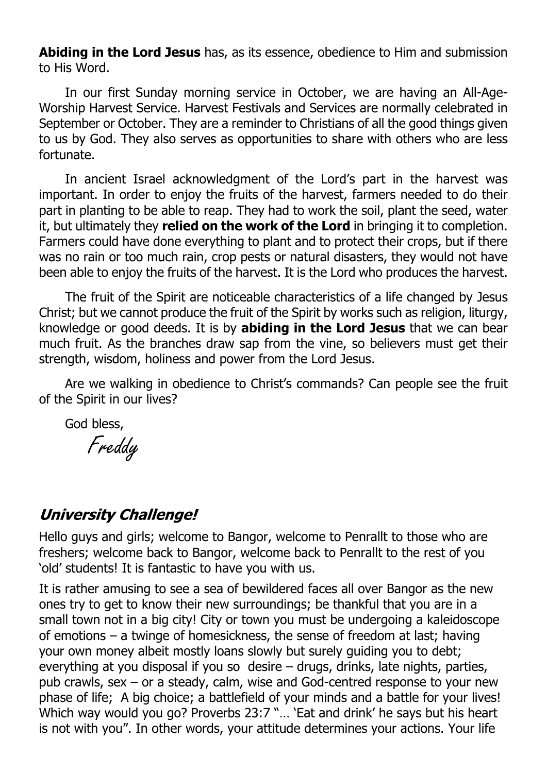**Abiding in the Lord Jesus** has, as its essence, obedience to Him and submission to His Word.

In our first Sunday morning service in October, we are having an All-Age-Worship Harvest Service. Harvest Festivals and Services are normally celebrated in September or October. They are a reminder to Christians of all the good things given to us by God. They also serves as opportunities to share with others who are less fortunate.

In ancient Israel acknowledgment of the Lord's part in the harvest was important. In order to enjoy the fruits of the harvest, farmers needed to do their part in planting to be able to reap. They had to work the soil, plant the seed, water it, but ultimately they **relied on the work of the Lord** in bringing it to completion. Farmers could have done everything to plant and to protect their crops, but if there was no rain or too much rain, crop pests or natural disasters, they would not have been able to enjoy the fruits of the harvest. It is the Lord who produces the harvest.

The fruit of the Spirit are noticeable characteristics of a life changed by Jesus Christ; but we cannot produce the fruit of the Spirit by works such as religion, liturgy, knowledge or good deeds. It is by **abiding in the Lord Jesus** that we can bear much fruit. As the branches draw sap from the vine, so believers must get their strength, wisdom, holiness and power from the Lord Jesus.

Are we walking in obedience to Christ's commands? Can people see the fruit of the Spirit in our lives?

God bless,

Freddy

#### **University Challenge!**

Hello guys and girls; welcome to Bangor, welcome to Penrallt to those who are freshers; welcome back to Bangor, welcome back to Penrallt to the rest of you 'old' students! It is fantastic to have you with us.

It is rather amusing to see a sea of bewildered faces all over Bangor as the new ones try to get to know their new surroundings; be thankful that you are in a small town not in a big city! City or town you must be undergoing a kaleidoscope of emotions – a twinge of homesickness, the sense of freedom at last; having your own money albeit mostly loans slowly but surely guiding you to debt; everything at you disposal if you so desire – drugs, drinks, late nights, parties, pub crawls, sex – or a steady, calm, wise and God-centred response to your new phase of life; A big choice; a battlefield of your minds and a battle for your lives! Which way would you go? Proverbs 23:7 "… 'Eat and drink' he says but his heart is not with you". In other words, your attitude determines your actions. Your life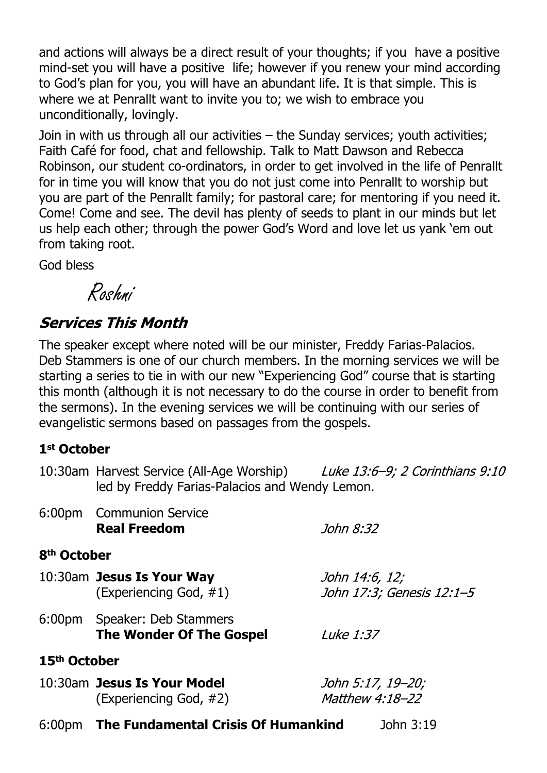and actions will always be a direct result of your thoughts; if you have a positive mind-set you will have a positive life; however if you renew your mind according to God's plan for you, you will have an abundant life. It is that simple. This is where we at Penrallt want to invite you to; we wish to embrace you unconditionally, lovingly.

Join in with us through all our activities – the Sunday services; youth activities; Faith Café for food, chat and fellowship. Talk to Matt Dawson and Rebecca Robinson, our student co-ordinators, in order to get involved in the life of Penrallt for in time you will know that you do not just come into Penrallt to worship but you are part of the Penrallt family; for pastoral care; for mentoring if you need it. Come! Come and see. The devil has plenty of seeds to plant in our minds but let us help each other; through the power God's Word and love let us yank 'em out from taking root.

God bless

Roshni

## **Services This Month**

The speaker except where noted will be our minister, Freddy Farias-Palacios. Deb Stammers is one of our church members. In the morning services we will be starting a series to tie in with our new "Experiencing God" course that is starting this month (although it is not necessary to do the course in order to benefit from the sermons). In the evening services we will be continuing with our series of evangelistic sermons based on passages from the gospels.

#### **1st October**

|                          | 10:30am Harvest Service (All-Age Worship) Luke 13:6-9; 2 Corinthians 9:10<br>led by Freddy Farias-Palacios and Wendy Lemon. |                           |
|--------------------------|-----------------------------------------------------------------------------------------------------------------------------|---------------------------|
|                          | 6:00pm Communion Service<br><b>Real Freedom</b>                                                                             | John 8:32                 |
| 8 <sup>th</sup> October  |                                                                                                                             |                           |
|                          | 10:30am Jesus Is Your Way                                                                                                   | John 14:6, 12;            |
|                          | (Experiencing God, #1)                                                                                                      | John 17:3; Genesis 12:1-5 |
|                          | 6:00pm Speaker: Deb Stammers<br><b>The Wonder Of The Gospel</b>                                                             | <i>Luke 1:37</i>          |
| 15 <sup>th</sup> October |                                                                                                                             |                           |
|                          | 10:30am Jesus Is Your Model                                                                                                 | John 5:17, 19–20;         |
|                          | (Experiencing God, #2)                                                                                                      | Matthew 4:18-22           |
|                          | 6:00pm The Fundamental Crisis Of Humankind                                                                                  | John 3:19                 |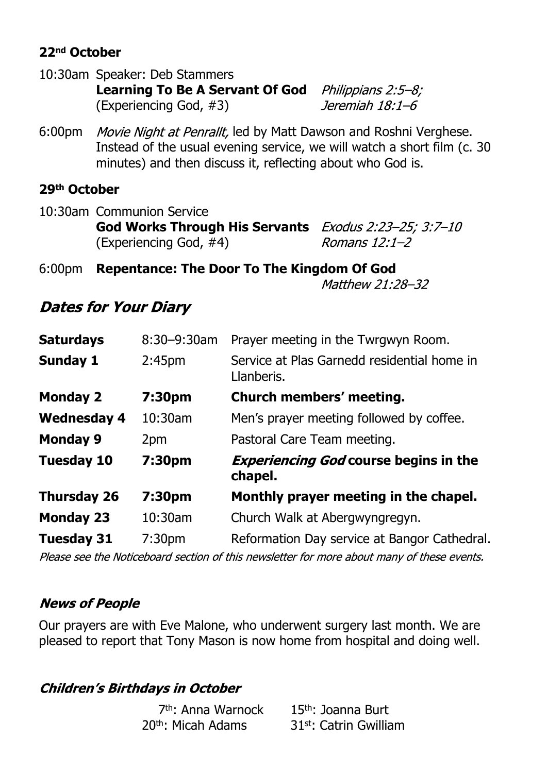#### **22nd October**

| 10:30am Speaker: Deb Stammers                                    |                 |
|------------------------------------------------------------------|-----------------|
| <b>Learning To Be A Servant Of God</b> <i>Philippians 2:5-8;</i> |                 |
| (Experiencing God, #3)                                           | Jeremiah 18:1–6 |

6:00pm Movie Night at Penrallt, led by Matt Dawson and Roshni Verghese. Instead of the usual evening service, we will watch a short film (c. 30 minutes) and then discuss it, reflecting about who God is.

#### **29th October**

| 10:30am Communion Service                                           |               |  |  |
|---------------------------------------------------------------------|---------------|--|--|
| <b>God Works Through His Servants</b> <i>Exodus 2:23-25; 3:7-10</i> |               |  |  |
| (Experiencing God, $#4$ )                                           | Romans 12:1–2 |  |  |

6:00pm **Repentance: The Door To The Kingdom Of God**Matthew 21:28-32

## **Dates for Your Diary**

| <b>Saturdays</b>   | $8:30 - 9:30$ am   | Prayer meeting in the Twrgwyn Room.                       |
|--------------------|--------------------|-----------------------------------------------------------|
| <b>Sunday 1</b>    | 2:45 <sub>pm</sub> | Service at Plas Garnedd residential home in<br>Llanberis. |
| <b>Monday 2</b>    | 7:30pm             | Church members' meeting.                                  |
| <b>Wednesday 4</b> | 10:30am            | Men's prayer meeting followed by coffee.                  |
| <b>Monday 9</b>    | 2pm                | Pastoral Care Team meeting.                               |
| <b>Tuesday 10</b>  | 7:30pm             | <b>Experiencing God course begins in the</b><br>chapel.   |
| <b>Thursday 26</b> | 7:30pm             | Monthly prayer meeting in the chapel.                     |
| <b>Monday 23</b>   | 10:30am            | Church Walk at Abergwyngregyn.                            |
| <b>Tuesday 31</b>  | 7:30 <sub>pm</sub> | Reformation Day service at Bangor Cathedral.              |
|                    |                    |                                                           |

Please see the Noticeboard section of this newsletter for more about many of these events.

#### **News of People**

Our prayers are with Eve Malone, who underwent surgery last month. We are pleased to report that Tony Mason is now home from hospital and doing well.

#### **Children's Birthdays in October**

| 7 <sup>th</sup> : Anna Warnock | $15th$ : Joanna Burt               |
|--------------------------------|------------------------------------|
| 20 <sup>th</sup> : Micah Adams | 31 <sup>st</sup> : Catrin Gwilliam |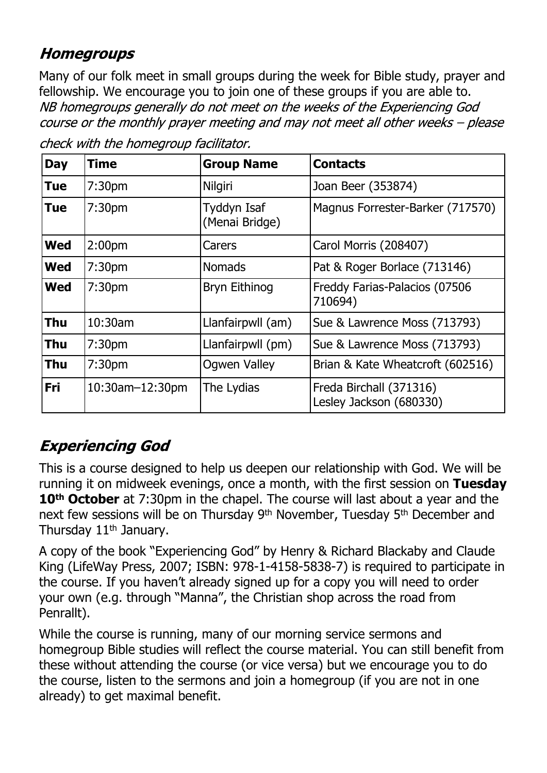## **Homegroups**

Many of our folk meet in small groups during the week for Bible study, prayer and fellowship. We encourage you to join one of these groups if you are able to. NB homegroups generally do not meet on the weeks of the Experiencing God course or the monthly prayer meeting and may not meet all other weeks - please

| <b>Day</b> | <b>Time</b>            | <b>Group Name</b>             | <b>Contacts</b>                                    |
|------------|------------------------|-------------------------------|----------------------------------------------------|
| <b>Tue</b> | 7:30 <sub>pm</sub>     | Nilgiri                       | Joan Beer (353874)                                 |
| Tue        | 7:30 <sub>pm</sub>     | Tyddyn Isaf<br>(Menai Bridge) | Magnus Forrester-Barker (717570)                   |
| <b>Wed</b> | 2:00pm                 | Carers                        | Carol Morris (208407)                              |
| <b>Wed</b> | 7:30 <sub>pm</sub>     | <b>Nomads</b>                 | Pat & Roger Borlace (713146)                       |
| <b>Wed</b> | 7:30 <sub>pm</sub>     | <b>Bryn Eithinog</b>          | Freddy Farias-Palacios (07506<br>710694)           |
| <b>Thu</b> | 10:30am                | Llanfairpwll (am)             | Sue & Lawrence Moss (713793)                       |
| <b>Thu</b> | 7:30 <sub>pm</sub>     | Llanfairpwll (pm)             | Sue & Lawrence Moss (713793)                       |
| Thu        | 7:30 <sub>pm</sub>     | Ogwen Valley                  | Brian & Kate Wheatcroft (602516)                   |
| Fri        | $10:30$ am $-12:30$ pm | The Lydias                    | Freda Birchall (371316)<br>Lesley Jackson (680330) |

check with the homegroup facilitator.

## **Experiencing God**

This is a course designed to help us deepen our relationship with God. We will be running it on midweek evenings, once a month, with the first session on **Tuesday 10th October** at 7:30pm in the chapel. The course will last about a year and the next few sessions will be on Thursday 9<sup>th</sup> November, Tuesday 5<sup>th</sup> December and Thursday 11<sup>th</sup> January.

A copy of the book "Experiencing God" by Henry & Richard Blackaby and Claude King (LifeWay Press, 2007; ISBN: 978-1-4158-5838-7) is required to participate in the course. If you haven't already signed up for a copy you will need to order your own (e.g. through "Manna", the Christian shop across the road from Penrallt).

While the course is running, many of our morning service sermons and homegroup Bible studies will reflect the course material. You can still benefit from these without attending the course (or vice versa) but we encourage you to do the course, listen to the sermons and join a homegroup (if you are not in one already) to get maximal benefit.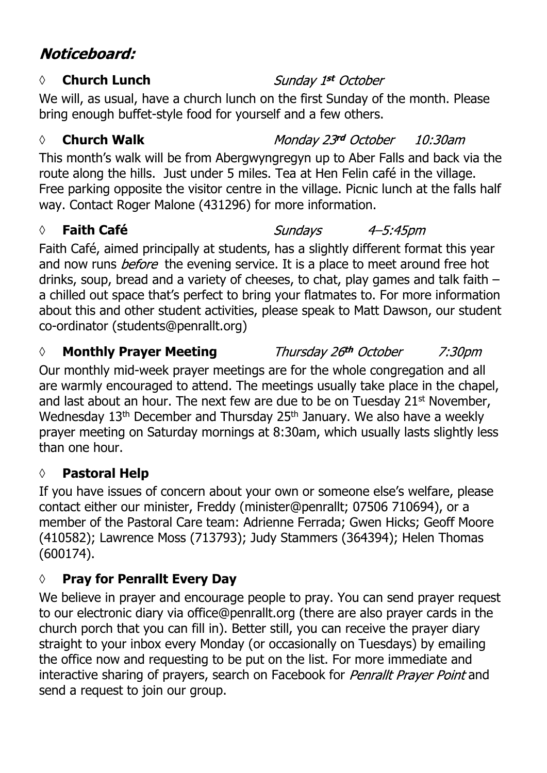## Noticeboard:

### *◊* **Church Lunch**

We will, as usual, have a church lunch on the first Sunday of the month. Please bring enough buffet-style food for yourself and a few others.

## *◊* **Church Walk**

This month's walk will be from Abergwyngregyn up to Aber Falls and back via the route along the hills. Just under 5 miles. Tea at Hen Felin café in the village. Free parking opposite the visitor centre in the village. Picnic lunch at the falls half way. Contact Roger Malone (431296) for more information.

## *◊* **Faith Café**

Faith Café, aimed principally at students, has a slightly different format this year and now runs *before* the evening service. It is a place to meet around free hot drinks, soup, bread and a variety of cheeses, to chat, play games and talk faith – a chilled out space that's perfect to bring your flatmates to. For more information about this and other student activities, please speak to Matt Dawson, our student co-ordinator (students@penrallt.org)

*◊* **Monthly Prayer Meeting** 7:30pm Our monthly mid-week prayer meetings are for the whole congregation and all are warmly encouraged to attend. The meetings usually take place in the chapel, and last about an hour. The next few are due to be on Tuesday 21<sup>st</sup> November, Wednesday 13<sup>th</sup> December and Thursday 25<sup>th</sup> January. We also have a weekly prayer meeting on Saturday mornings at 8:30am, which usually lasts slightly less than one hour.

## **◊ Pastoral Help**

If you have issues of concern about your own or someone else's welfare, please contact either our minister, Freddy (minister@penrallt; 07506 710694), or a member of the Pastoral Care team: Adrienne Ferrada; Gwen Hicks; Geoff Moore (410582); Lawrence Moss (713793); Judy Stammers (364394); Helen Thomas (600174).

## **◊ Pray for Penrallt Every Day**

We believe in prayer and encourage people to pray. You can send prayer request to our electronic diary via office@penrallt.org (there are also prayer cards in the church porch that you can fill in). Better still, you can receive the prayer diary straight to your inbox every Monday (or occasionally on Tuesdays) by emailing the office now and requesting to be put on the list. For more immediate and interactive sharing of prayers, search on Facebook for *Penrallt Prayer Point* and send a request to join our group.

## Sunday 1st October

Monday 23rd October  $10:30$ am

Sundays 4-5:45pm

#### Thursday 26th October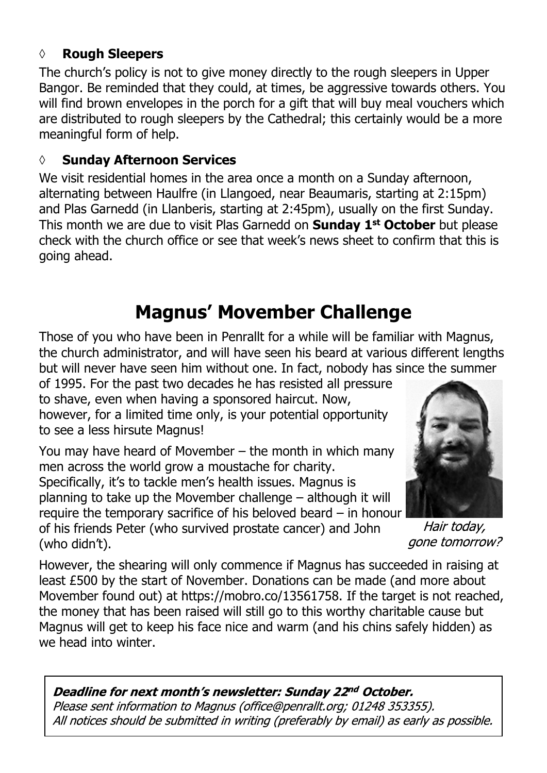#### **◊ Rough Sleepers**

The church's policy is not to give money directly to the rough sleepers in Upper Bangor. Be reminded that they could, at times, be aggressive towards others. You will find brown envelopes in the porch for a gift that will buy meal vouchers which are distributed to rough sleepers by the Cathedral; this certainly would be a more meaningful form of help.

#### **◊ Sunday Afternoon Services**

We visit residential homes in the area once a month on a Sunday afternoon, alternating between Haulfre (in Llangoed, near Beaumaris, starting at 2:15pm) and Plas Garnedd (in Llanberis, starting at 2:45pm), usually on the first Sunday. This month we are due to visit Plas Garnedd on **Sunday 1st October** but please check with the church office or see that week's news sheet to confirm that this is going ahead.

## **Magnus' Movember Challenge**

Those of you who have been in Penrallt for a while will be familiar with Magnus, the church administrator, and will have seen his beard at various different lengths but will never have seen him without one. In fact, nobody has since the summer

of 1995. For the past two decades he has resisted all pressure to shave, even when having a sponsored haircut. Now, however, for a limited time only, is your potential opportunity to see a less hirsute Magnus!

You may have heard of Movember – the month in which many men across the world grow a moustache for charity. Specifically, it's to tackle men's health issues. Magnus is planning to take up the Movember challenge – although it will require the temporary sacrifice of his beloved beard – in honour of his friends Peter (who survived prostate cancer) and John (who didn't).



Hair today, gone tomorrow?

However, the shearing will only commence if Magnus has succeeded in raising at least £500 by the start of November. Donations can be made (and more about Movember found out) at https://mobro.co/13561758. If the target is not reached, the money that has been raised will still go to this worthy charitable cause but Magnus will get to keep his face nice and warm (and his chins safely hidden) as we head into winter.

Deadline for next month's newsletter: Sunday 22nd October. Please sent information to Magnus (office@penrallt.org; 01248 353355). All notices should be submitted in writing (preferably by email) as early as possible.